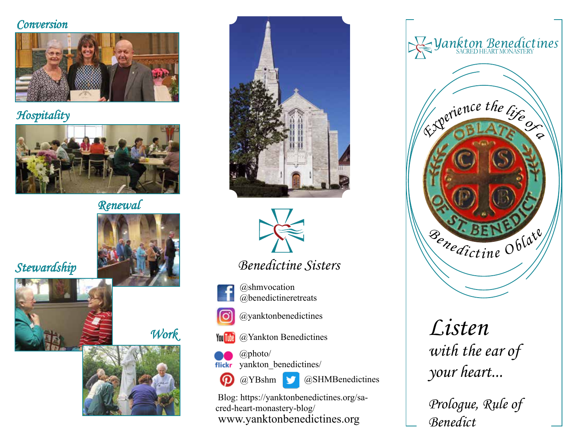#### **Conversion**



### **Hospitality**



## Renewal











## Benedictine Sisters

@shmvocation @benedictineretreats



@yanktonbenedictines

**The Condensities** Constants Condensign Condensities



 $\bigcirc$  @photo/ yankton\_benedictines/



 $\Box$  @SHMBenedictines

www.yanktonbenedictines.org Blog: https://yanktonbenedictines.org/sacred-heart-monastery-blog/



# Listen with the ear of your heart...

Prologue, Rule of Benedict